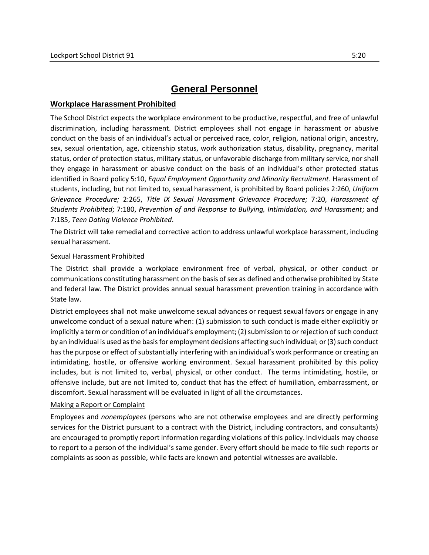# **General Personnel**

## **Workplace Harassment Prohibited**

The School District expects the workplace environment to be productive, respectful, and free of unlawful discrimination, including harassment. District employees shall not engage in harassment or abusive conduct on the basis of an individual's actual or perceived race, color, religion, national origin, ancestry, sex, sexual orientation, age, citizenship status, work authorization status, disability, pregnancy, marital status, order of protection status, military status, or unfavorable discharge from military service, nor shall they engage in harassment or abusive conduct on the basis of an individual's other protected status identified in Board policy 5:10, *Equal Employment Opportunity and Minority Recruitment*. Harassment of students, including, but not limited to, sexual harassment, is prohibited by Board policies 2:260, *Uniform Grievance Procedure;* 2:265, *Title IX Sexual Harassment Grievance Procedure;* 7:20, *Harassment of Students Prohibited*; 7:180, *Prevention of and Response to Bullying, Intimidation, and Harassment*; and 7:185, *Teen Dating Violence Prohibited*.

The District will take remedial and corrective action to address unlawful workplace harassment, including sexual harassment.

#### Sexual Harassment Prohibited

The District shall provide a workplace environment free of verbal, physical, or other conduct or communications constituting harassment on the basis of sex as defined and otherwise prohibited by State and federal law. The District provides annual sexual harassment prevention training in accordance with State law.

District employees shall not make unwelcome sexual advances or request sexual favors or engage in any unwelcome conduct of a sexual nature when: (1) submission to such conduct is made either explicitly or implicitly a term or condition of an individual's employment; (2) submission to or rejection of such conduct by an individual is used as the basis for employment decisions affecting such individual; or (3) such conduct has the purpose or effect of substantially interfering with an individual's work performance or creating an intimidating, hostile, or offensive working environment. Sexual harassment prohibited by this policy includes, but is not limited to, verbal, physical, or other conduct. The terms intimidating, hostile, or offensive include, but are not limited to, conduct that has the effect of humiliation, embarrassment, or discomfort. Sexual harassment will be evaluated in light of all the circumstances.

#### Making a Report or Complaint

Employees and *nonemployees* (persons who are not otherwise employees and are directly performing services for the District pursuant to a contract with the District, including contractors, and consultants) are encouraged to promptly report information regarding violations of this policy. Individuals may choose to report to a person of the individual's same gender. Every effort should be made to file such reports or complaints as soon as possible, while facts are known and potential witnesses are available.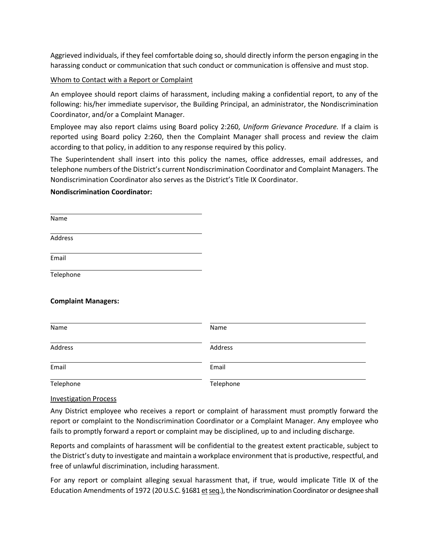Aggrieved individuals, if they feel comfortable doing so, should directly inform the person engaging in the harassing conduct or communication that such conduct or communication is offensive and must stop.

## Whom to Contact with a Report or Complaint

An employee should report claims of harassment, including making a confidential report, to any of the following: his/her immediate supervisor, the Building Principal, an administrator, the Nondiscrimination Coordinator, and/or a Complaint Manager.

Employee may also report claims using Board policy 2:260, *Uniform Grievance Procedure.* If a claim is reported using Board policy 2:260, then the Complaint Manager shall process and review the claim according to that policy, in addition to any response required by this policy.

The Superintendent shall insert into this policy the names, office addresses, email addresses, and telephone numbers of the District's current Nondiscrimination Coordinator and Complaint Managers. The Nondiscrimination Coordinator also serves as the District's Title IX Coordinator.

#### **Nondiscrimination Coordinator:**

| Name                       |           |
|----------------------------|-----------|
| Address                    |           |
| Email                      |           |
| Telephone                  |           |
| <b>Complaint Managers:</b> |           |
| Name                       | Name      |
| Address                    | Address   |
| Email                      | Email     |
| Telephone                  | Telephone |

#### Investigation Process

Any District employee who receives a report or complaint of harassment must promptly forward the report or complaint to the Nondiscrimination Coordinator or a Complaint Manager. Any employee who fails to promptly forward a report or complaint may be disciplined, up to and including discharge.

Reports and complaints of harassment will be confidential to the greatest extent practicable, subject to the District's duty to investigate and maintain a workplace environment that is productive, respectful, and free of unlawful discrimination, including harassment.

For any report or complaint alleging sexual harassment that, if true, would implicate Title IX of the Education Amendments of 1972 (20 U.S.C. §1681 et seq.), the Nondiscrimination Coordinator or designee shall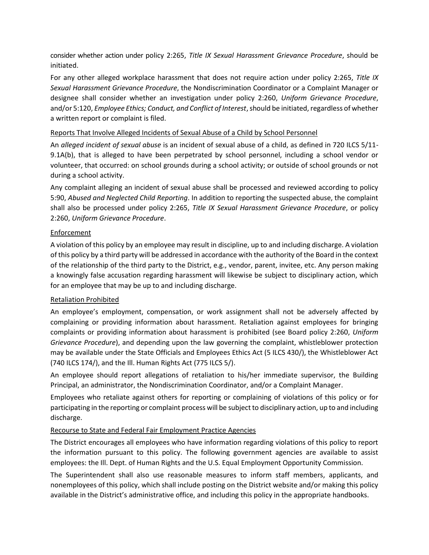consider whether action under policy 2:265, *Title IX Sexual Harassment Grievance Procedure*, should be initiated.

For any other alleged workplace harassment that does not require action under policy 2:265, *Title IX Sexual Harassment Grievance Procedure*, the Nondiscrimination Coordinator or a Complaint Manager or designee shall consider whether an investigation under policy 2:260, *Uniform Grievance Procedure*, and/or 5:120, *Employee Ethics; Conduct, and Conflict of Interest*, should be initiated, regardless of whether a written report or complaint is filed.

## Reports That Involve Alleged Incidents of Sexual Abuse of a Child by School Personnel

An *alleged incident of sexual abuse* is an incident of sexual abuse of a child, as defined in 720 ILCS 5/11- 9.1A(b), that is alleged to have been perpetrated by school personnel, including a school vendor or volunteer, that occurred: on school grounds during a school activity; or outside of school grounds or not during a school activity.

Any complaint alleging an incident of sexual abuse shall be processed and reviewed according to policy 5:90, *Abused and Neglected Child Reporting*. In addition to reporting the suspected abuse, the complaint shall also be processed under policy 2:265, *Title IX Sexual Harassment Grievance Procedure*, or policy 2:260, *Uniform Grievance Procedure*.

## Enforcement

A violation of this policy by an employee may result in discipline, up to and including discharge. A violation of this policy by a third party will be addressed in accordance with the authority of the Board in the context of the relationship of the third party to the District, e.g., vendor, parent, invitee, etc. Any person making a knowingly false accusation regarding harassment will likewise be subject to disciplinary action, which for an employee that may be up to and including discharge.

## Retaliation Prohibited

An employee's employment, compensation, or work assignment shall not be adversely affected by complaining or providing information about harassment. Retaliation against employees for bringing complaints or providing information about harassment is prohibited (see Board policy 2:260, *Uniform Grievance Procedure*), and depending upon the law governing the complaint, whistleblower protection may be available under the State Officials and Employees Ethics Act (5 ILCS 430/), the Whistleblower Act (740 ILCS 174/), and the Ill. Human Rights Act (775 ILCS 5/).

An employee should report allegations of retaliation to his/her immediate supervisor, the Building Principal, an administrator, the Nondiscrimination Coordinator, and/or a Complaint Manager.

Employees who retaliate against others for reporting or complaining of violations of this policy or for participating in the reporting or complaint process will be subject to disciplinary action, up to and including discharge.

# Recourse to State and Federal Fair Employment Practice Agencies

The District encourages all employees who have information regarding violations of this policy to report the information pursuant to this policy. The following government agencies are available to assist employees: the Ill. Dept. of Human Rights and the U.S. Equal Employment Opportunity Commission.

The Superintendent shall also use reasonable measures to inform staff members, applicants, and nonemployees of this policy, which shall include posting on the District website and/or making this policy available in the District's administrative office, and including this policy in the appropriate handbooks.